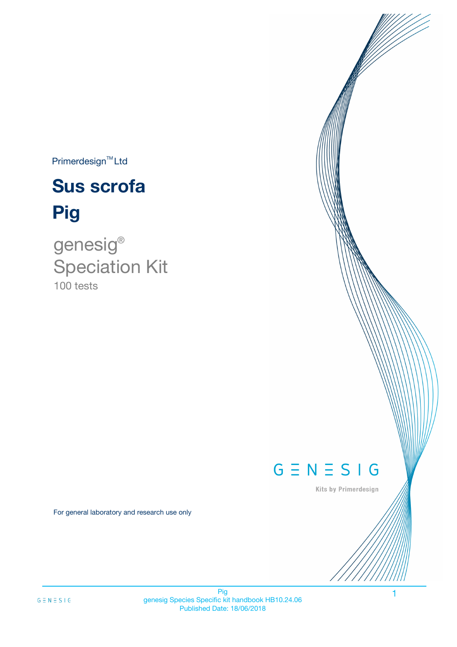$Primerdesign^{TM}$ Ltd

# **Sus scrofa Pig**

100 tests genesig ® Speciation Kit

# $G \equiv N \equiv S \mid G$

Kits by Primerdesign

1

For general laboratory and research use only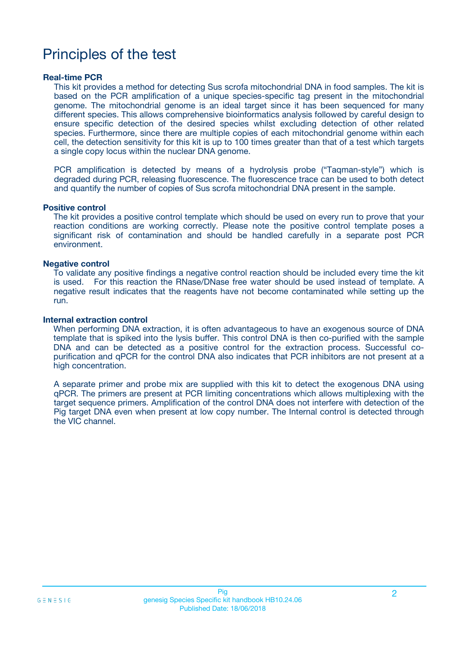# Principles of the test

### **Real-time PCR**

This kit provides a method for detecting Sus scrofa mitochondrial DNA in food samples. The kit is based on the PCR amplification of a unique species-specific tag present in the mitochondrial genome. The mitochondrial genome is an ideal target since it has been sequenced for many different species. This allows comprehensive bioinformatics analysis followed by careful design to ensure specific detection of the desired species whilst excluding detection of other related species. Furthermore, since there are multiple copies of each mitochondrial genome within each cell, the detection sensitivity for this kit is up to 100 times greater than that of a test which targets a single copy locus within the nuclear DNA genome.

PCR amplification is detected by means of a hydrolysis probe ("Taqman-style") which is degraded during PCR, releasing fluorescence. The fluorescence trace can be used to both detect and quantify the number of copies of Sus scrofa mitochondrial DNA present in the sample.

### **Positive control**

The kit provides a positive control template which should be used on every run to prove that your reaction conditions are working correctly. Please note the positive control template poses a significant risk of contamination and should be handled carefully in a separate post PCR environment.

### **Negative control**

To validate any positive findings a negative control reaction should be included every time the kit is used. For this reaction the RNase/DNase free water should be used instead of template. A negative result indicates that the reagents have not become contaminated while setting up the run.

#### **Internal extraction control**

When performing DNA extraction, it is often advantageous to have an exogenous source of DNA template that is spiked into the lysis buffer. This control DNA is then co-purified with the sample DNA and can be detected as a positive control for the extraction process. Successful copurification and qPCR for the control DNA also indicates that PCR inhibitors are not present at a high concentration.

A separate primer and probe mix are supplied with this kit to detect the exogenous DNA using qPCR. The primers are present at PCR limiting concentrations which allows multiplexing with the target sequence primers. Amplification of the control DNA does not interfere with detection of the Pig target DNA even when present at low copy number. The Internal control is detected through the VIC channel.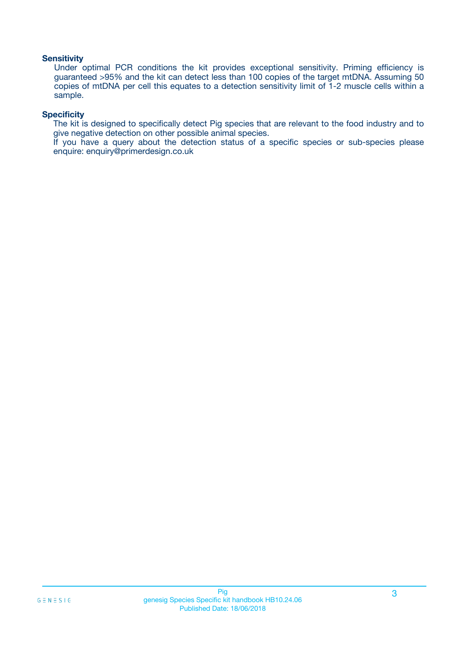### **Sensitivity**

Under optimal PCR conditions the kit provides exceptional sensitivity. Priming efficiency is guaranteed >95% and the kit can detect less than 100 copies of the target mtDNA. Assuming 50 copies of mtDNA per cell this equates to a detection sensitivity limit of 1-2 muscle cells within a sample.

### **Specificity**

The kit is designed to specifically detect Pig species that are relevant to the food industry and to give negative detection on other possible animal species.

If you have a query about the detection status of a specific species or sub-species please enquire: enquiry@primerdesign.co.uk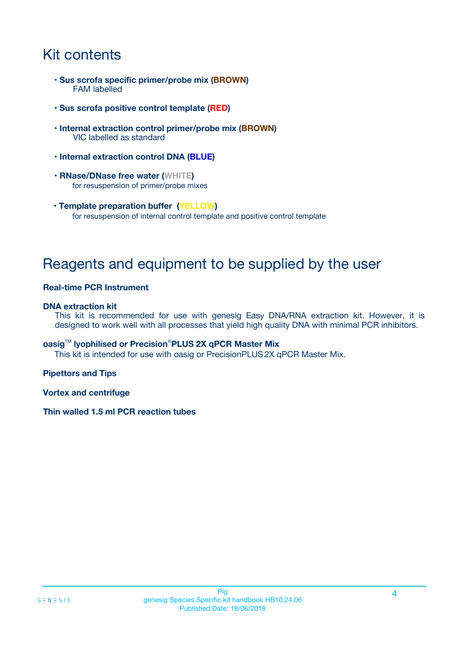# Kit contents

- **Sus scrofa specific primer/probe mix (BROWN)** FAM labelled
- **Sus scrofa positive control template (RED)**
- **Internal extraction control primer/probe mix (BROWN)** VIC labelled as standard
- **Internal extraction control DNA (BLUE)**
- **RNase/DNase free water (WHITE)** for resuspension of primer/probe mixes
- **Template preparation buffer (YELLOW)** for resuspension of internal control template and positive control template

# Reagents and equipment to be supplied by the user

### **Real-time PCR Instrument**

### **DNA extraction kit**

This kit is recommended for use with genesig Easy DNA/RNA extraction kit. However, it is designed to work well with all processes that yield high quality DNA with minimal PCR inhibitors.

### **oasig**TM **lyophilised or Precision**®**PLUS 2X qPCR Master Mix**

This kit is intended for use with oasig or PrecisionPLUS2X qPCR Master Mix.

### **Pipettors and Tips**

**Vortex and centrifuge**

### **Thin walled 1.5 ml PCR reaction tubes**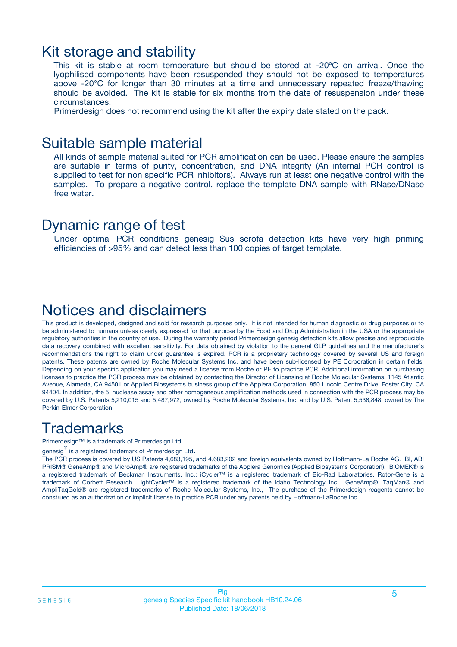### Kit storage and stability

This kit is stable at room temperature but should be stored at -20ºC on arrival. Once the lyophilised components have been resuspended they should not be exposed to temperatures above -20°C for longer than 30 minutes at a time and unnecessary repeated freeze/thawing should be avoided. The kit is stable for six months from the date of resuspension under these circumstances.

Primerdesign does not recommend using the kit after the expiry date stated on the pack.

### Suitable sample material

All kinds of sample material suited for PCR amplification can be used. Please ensure the samples are suitable in terms of purity, concentration, and DNA integrity (An internal PCR control is supplied to test for non specific PCR inhibitors). Always run at least one negative control with the samples. To prepare a negative control, replace the template DNA sample with RNase/DNase free water.

### Dynamic range of test

Under optimal PCR conditions genesig Sus scrofa detection kits have very high priming efficiencies of >95% and can detect less than 100 copies of target template.

## Notices and disclaimers

This product is developed, designed and sold for research purposes only. It is not intended for human diagnostic or drug purposes or to be administered to humans unless clearly expressed for that purpose by the Food and Drug Administration in the USA or the appropriate regulatory authorities in the country of use. During the warranty period Primerdesign genesig detection kits allow precise and reproducible data recovery combined with excellent sensitivity. For data obtained by violation to the general GLP guidelines and the manufacturer's recommendations the right to claim under guarantee is expired. PCR is a proprietary technology covered by several US and foreign patents. These patents are owned by Roche Molecular Systems Inc. and have been sub-licensed by PE Corporation in certain fields. Depending on your specific application you may need a license from Roche or PE to practice PCR. Additional information on purchasing licenses to practice the PCR process may be obtained by contacting the Director of Licensing at Roche Molecular Systems, 1145 Atlantic Avenue, Alameda, CA 94501 or Applied Biosystems business group of the Applera Corporation, 850 Lincoln Centre Drive, Foster City, CA 94404. In addition, the 5' nuclease assay and other homogeneous amplification methods used in connection with the PCR process may be covered by U.S. Patents 5,210,015 and 5,487,972, owned by Roche Molecular Systems, Inc, and by U.S. Patent 5,538,848, owned by The Perkin-Elmer Corporation.

# **Trademarks**

Primerdesign™ is a trademark of Primerdesign Ltd.

genesig $^\circledR$  is a registered trademark of Primerdesign Ltd.

The PCR process is covered by US Patents 4,683,195, and 4,683,202 and foreign equivalents owned by Hoffmann-La Roche AG. BI, ABI PRISM® GeneAmp® and MicroAmp® are registered trademarks of the Applera Genomics (Applied Biosystems Corporation). BIOMEK® is a registered trademark of Beckman Instruments, Inc.; iCycler™ is a registered trademark of Bio-Rad Laboratories, Rotor-Gene is a trademark of Corbett Research. LightCycler™ is a registered trademark of the Idaho Technology Inc. GeneAmp®, TaqMan® and AmpliTaqGold® are registered trademarks of Roche Molecular Systems, Inc., The purchase of the Primerdesign reagents cannot be construed as an authorization or implicit license to practice PCR under any patents held by Hoffmann-LaRoche Inc.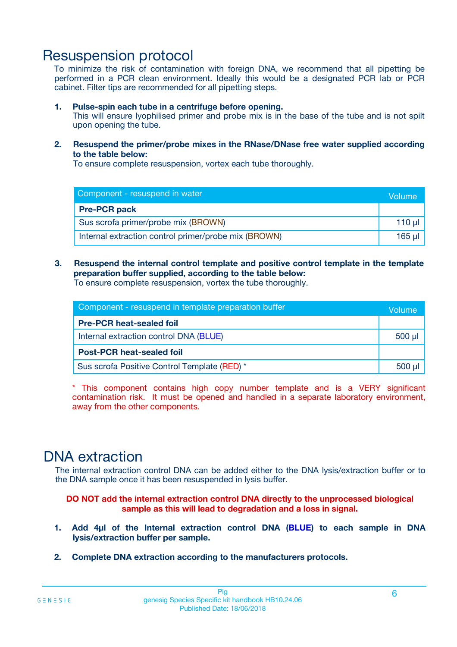# Resuspension protocol

To minimize the risk of contamination with foreign DNA, we recommend that all pipetting be performed in a PCR clean environment. Ideally this would be a designated PCR lab or PCR cabinet. Filter tips are recommended for all pipetting steps.

### **1. Pulse-spin each tube in a centrifuge before opening.**

This will ensure lyophilised primer and probe mix is in the base of the tube and is not spilt upon opening the tube.

**2. Resuspend the primer/probe mixes in the RNase/DNase free water supplied according to the table below:**

To ensure complete resuspension, vortex each tube thoroughly.

| Component - resuspend in water                       |        |  |
|------------------------------------------------------|--------|--|
| <b>Pre-PCR pack</b>                                  |        |  |
| Sus scrofa primer/probe mix (BROWN)                  | 110 µl |  |
| Internal extraction control primer/probe mix (BROWN) | 165 ul |  |

### **3. Resuspend the internal control template and positive control template in the template preparation buffer supplied, according to the table below:**

To ensure complete resuspension, vortex the tube thoroughly.

| Component - resuspend in template preparation buffer |             |  |
|------------------------------------------------------|-------------|--|
| <b>Pre-PCR heat-sealed foil</b>                      |             |  |
| Internal extraction control DNA (BLUE)               | $500$ $\mu$ |  |
| <b>Post-PCR heat-sealed foil</b>                     |             |  |
| Sus scrofa Positive Control Template (RED) *         |             |  |

\* This component contains high copy number template and is a VERY significant contamination risk. It must be opened and handled in a separate laboratory environment, away from the other components.

# DNA extraction

The internal extraction control DNA can be added either to the DNA lysis/extraction buffer or to the DNA sample once it has been resuspended in lysis buffer.

**DO NOT add the internal extraction control DNA directly to the unprocessed biological sample as this will lead to degradation and a loss in signal.**

- **1. Add 4µl of the Internal extraction control DNA (BLUE) to each sample in DNA lysis/extraction buffer per sample.**
- **2. Complete DNA extraction according to the manufacturers protocols.**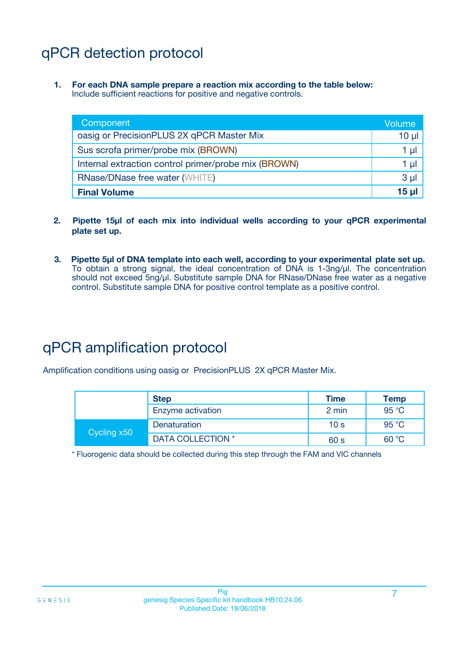# qPCR detection protocol

**1. For each DNA sample prepare a reaction mix according to the table below:** Include sufficient reactions for positive and negative controls.

| Component                                            | Volume         |
|------------------------------------------------------|----------------|
| oasig or PrecisionPLUS 2X qPCR Master Mix            | $10 \mu$       |
| Sus scrofa primer/probe mix (BROWN)                  | 1 µI           |
| Internal extraction control primer/probe mix (BROWN) | 1 µI           |
| <b>RNase/DNase free water (WHITE)</b>                | 3 <sub>µ</sub> |
| <b>Final Volume</b>                                  | 15 ul          |

- **2. Pipette 15µl of each mix into individual wells according to your qPCR experimental plate set up.**
- **3. Pipette 5µl of DNA template into each well, according to your experimental plate set up.** To obtain a strong signal, the ideal concentration of DNA is 1-3ng/µl. The concentration should not exceed 5ng/µl. Substitute sample DNA for RNase/DNase free water as a negative control. Substitute sample DNA for positive control template as a positive control.

# qPCR amplification protocol

Amplification conditions using oasig or PrecisionPLUS 2X qPCR Master Mix.

|             | <b>Step</b>       | <b>Time</b>     | Temp           |
|-------------|-------------------|-----------------|----------------|
|             | Enzyme activation | 2 min           | 95 °C          |
| Cycling x50 | Denaturation      | 10 <sub>s</sub> | 95 $\degree$ C |
|             | DATA COLLECTION * | 60 s            | 60 °C          |

\* Fluorogenic data should be collected during this step through the FAM and VIC channels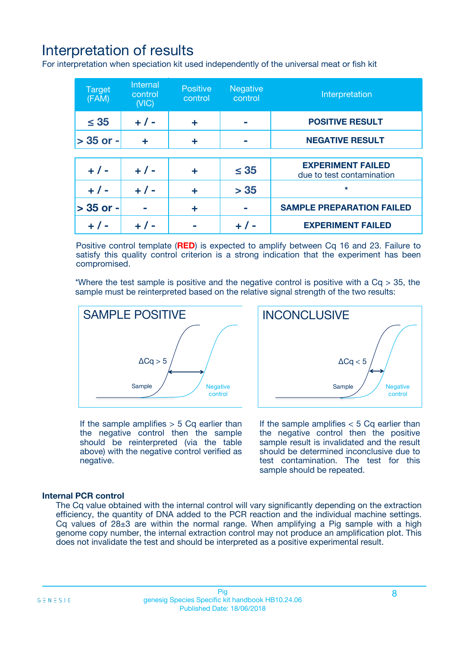# Interpretation of results

For interpretation when speciation kit used independently of the universal meat or fish kit

| <b>Target</b><br>(FAM) | <b>Internal</b><br>control<br>(VIC) | <b>Positive</b><br>control | <b>Negative</b><br>control | Interpretation                                        |
|------------------------|-------------------------------------|----------------------------|----------------------------|-------------------------------------------------------|
| $\leq 35$              | $+ 1 -$                             | ÷                          |                            | <b>POSITIVE RESULT</b>                                |
| $> 35$ or -            | ÷                                   | ÷                          |                            | <b>NEGATIVE RESULT</b>                                |
|                        |                                     |                            |                            |                                                       |
| $+ 1 -$                | $+ 1 -$                             | ÷                          | $\leq 35$                  | <b>EXPERIMENT FAILED</b><br>due to test contamination |
| $+ 1 -$                | $+ 1 -$                             | ٠                          | > 35                       | $\star$                                               |
| $> 35$ or -            |                                     | ÷                          |                            | <b>SAMPLE PREPARATION FAILED</b>                      |
|                        |                                     |                            |                            | <b>EXPERIMENT FAILED</b>                              |

Positive control template (**RED**) is expected to amplify between Cq 16 and 23. Failure to satisfy this quality control criterion is a strong indication that the experiment has been compromised.

\*Where the test sample is positive and the negative control is positive with a  $Ca > 35$ , the sample must be reinterpreted based on the relative signal strength of the two results:



If the sample amplifies  $> 5$  Cq earlier than the negative control then the sample should be reinterpreted (via the table above) with the negative control verified as negative.

Sample  $/$  / Negative control  $\Delta$ Ca < 5 **INCONCLUSIVE** 

If the sample amplifies  $< 5$  Cq earlier than the negative control then the positive sample result is invalidated and the result should be determined inconclusive due to test contamination. The test for this sample should be repeated.

### **Internal PCR control**

The Cq value obtained with the internal control will vary significantly depending on the extraction efficiency, the quantity of DNA added to the PCR reaction and the individual machine settings. Cq values of  $28\pm3$  are within the normal range. When amplifying a Pig sample with a high genome copy number, the internal extraction control may not produce an amplification plot. This does not invalidate the test and should be interpreted as a positive experimental result.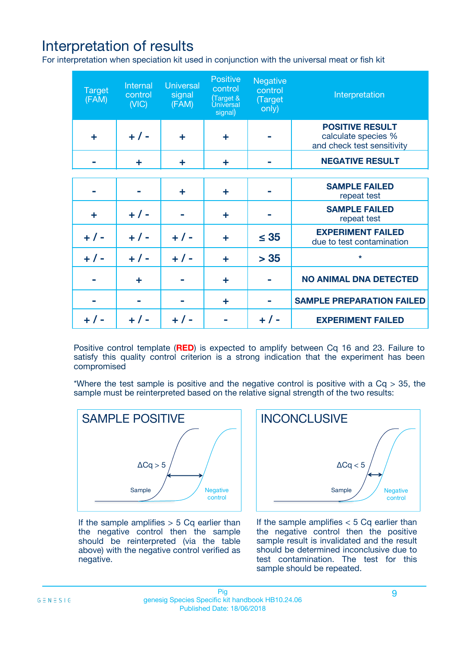# Interpretation of results

For interpretation when speciation kit used in conjunction with the universal meat or fish kit

| <b>Target</b><br>(FAM) | Internal<br>control<br>(NIC) | <b>Universal</b><br>signal<br>(FAM) | Positive<br>control<br>(Target &<br><b>Universal</b><br>signal) | <b>Negative</b><br>control<br>(Target<br>only) | Interpretation                                                              |
|------------------------|------------------------------|-------------------------------------|-----------------------------------------------------------------|------------------------------------------------|-----------------------------------------------------------------------------|
| ÷                      | $+$ / -                      | ÷                                   | ÷                                                               |                                                | <b>POSITIVE RESULT</b><br>calculate species %<br>and check test sensitivity |
|                        | ٠                            | ÷                                   | ÷                                                               |                                                | <b>NEGATIVE RESULT</b>                                                      |
|                        |                              |                                     |                                                                 |                                                |                                                                             |
|                        |                              | ÷                                   | ÷                                                               |                                                | <b>SAMPLE FAILED</b><br>repeat test                                         |
| ÷                      | $+ 1 -$                      |                                     | ÷                                                               |                                                | <b>SAMPLE FAILED</b><br>repeat test                                         |
| $+/-$                  | $+$ / -                      | $+/-$                               | ÷                                                               | $\leq 35$                                      | <b>EXPERIMENT FAILED</b><br>due to test contamination                       |
| $+ 1 -$                | $+$ / -                      | $+ 1 -$                             | ÷                                                               | > 35                                           | $\star$                                                                     |
|                        | ÷                            |                                     | ÷                                                               |                                                | <b>NO ANIMAL DNA DETECTED</b>                                               |
|                        |                              |                                     | ÷                                                               |                                                | <b>SAMPLE PREPARATION FAILED</b>                                            |
| $+  / -$               | $+ 1 -$                      |                                     |                                                                 |                                                | <b>EXPERIMENT FAILED</b>                                                    |

Positive control template (**RED**) is expected to amplify between Cq 16 and 23. Failure to satisfy this quality control criterion is a strong indication that the experiment has been compromised

\*Where the test sample is positive and the negative control is positive with a  $Cq > 35$ , the sample must be reinterpreted based on the relative signal strength of the two results:



If the sample amplifies  $> 5$  Cq earlier than the negative control then the sample should be reinterpreted (via the table above) with the negative control verified as negative.



If the sample amplifies  $< 5$  Cq earlier than the negative control then the positive sample result is invalidated and the result should be determined inconclusive due to test contamination. The test for this sample should be repeated.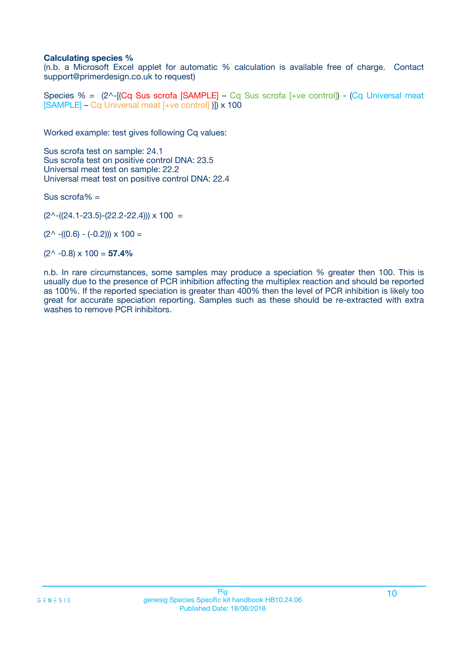### **Calculating species %**

(n.b. a Microsoft Excel applet for automatic % calculation is available free of charge. Contact support@primerdesign.co.uk to request)

Species % =  $(2^{\wedge}$ -[(Cq Sus scrofa [SAMPLE] – Cq Sus scrofa [+ve control]) - (Cq Universal meat [SAMPLE] – Cq Universal meat [+ve control] )]) x 100

Worked example: test gives following Cq values:

Sus scrofa test on sample: 24.1 Sus scrofa test on positive control DNA: 23.5 Universal meat test on sample: 22.2 Universal meat test on positive control DNA: 22.4

Sus scrofa $% =$ 

 $(2^{\wedge}-(24.1-23.5)-(22.2-22.4))) \times 100 =$ 

 $(2^{\wedge}$  -((0.6) - (-0.2)))  $\times$  100 =

(2^ -0.8) x 100 = **57.4%**

n.b. In rare circumstances, some samples may produce a speciation % greater then 100. This is usually due to the presence of PCR inhibition affecting the multiplex reaction and should be reported as 100%. If the reported speciation is greater than 400% then the level of PCR inhibition is likely too great for accurate speciation reporting. Samples such as these should be re-extracted with extra washes to remove PCR inhibitors.